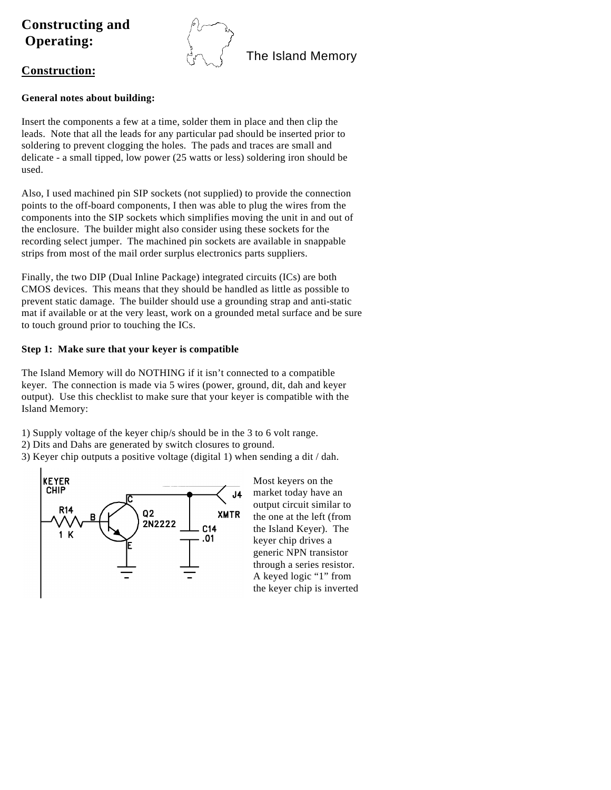# **Constructing and Operating:**



# **Construction:**

# **General notes about building:**

Insert the components a few at a time, solder them in place and then clip the leads. Note that all the leads for any particular pad should be inserted prior to soldering to prevent clogging the holes. The pads and traces are small and delicate - a small tipped, low power (25 watts or less) soldering iron should be used.

Also, I used machined pin SIP sockets (not supplied) to provide the connection points to the off-board components, I then was able to plug the wires from the components into the SIP sockets which simplifies moving the unit in and out of the enclosure. The builder might also consider using these sockets for the recording select jumper. The machined pin sockets are available in snappable strips from most of the mail order surplus electronics parts suppliers.

Finally, the two DIP (Dual Inline Package) integrated circuits (ICs) are both CMOS devices. This means that they should be handled as little as possible to prevent static damage. The builder should use a grounding strap and anti-static mat if available or at the very least, work on a grounded metal surface and be sure to touch ground prior to touching the ICs.

# **Step 1: Make sure that your keyer is compatible**

The Island Memory will do NOTHING if it isn't connected to a compatible keyer. The connection is made via 5 wires (power, ground, dit, dah and keyer output). Use this checklist to make sure that your keyer is compatible with the Island Memory:

1) Supply voltage of the keyer chip/s should be in the 3 to 6 volt range.

2) Dits and Dahs are generated by switch closures to ground.

3) Keyer chip outputs a positive voltage (digital 1) when sending a dit / dah.



Most keyers on the market today have an output circuit similar to the one at the left (from the Island Keyer). The keyer chip drives a generic NPN transistor through a series resistor. A keyed logic "1" from the keyer chip is inverted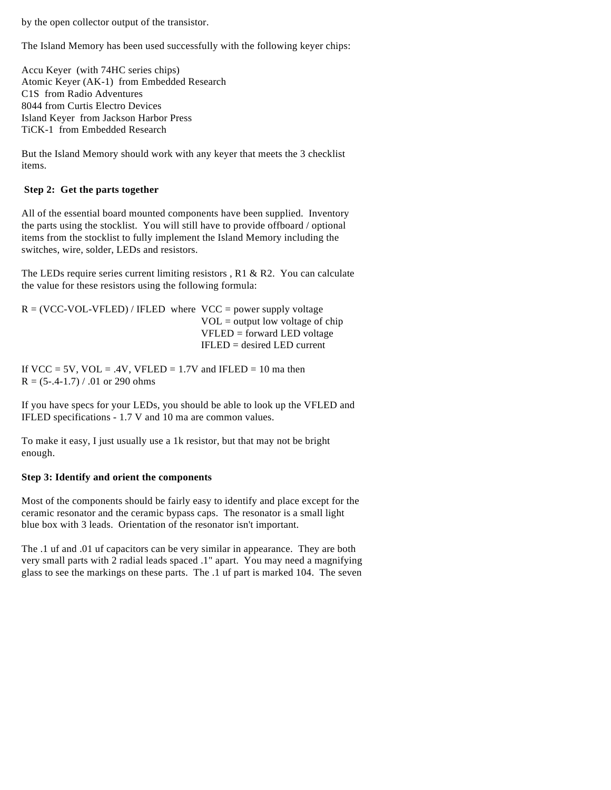by the open collector output of the transistor.

The Island Memory has been used successfully with the following keyer chips:

Accu Keyer (with 74HC series chips) Atomic Keyer (AK-1) from Embedded Research C1S from Radio Adventures 8044 from Curtis Electro Devices Island Keyer from Jackson Harbor Press TiCK-1 from Embedded Research

But the Island Memory should work with any keyer that meets the 3 checklist items.

#### **Step 2: Get the parts together**

All of the essential board mounted components have been supplied. Inventory the parts using the stocklist. You will still have to provide offboard / optional items from the stocklist to fully implement the Island Memory including the switches, wire, solder, LEDs and resistors.

The LEDs require series current limiting resistors , R1 & R2. You can calculate the value for these resistors using the following formula:

```
R = (VCC-VOL-VFLED) / IFLED where VCC = power supply voltage
                         VOL = output low voltage of chip
                         VFLED = forward LED voltage
                         IFLED = desired LED current
```
If VCC = 5V, VOL = .4V, VFLED =  $1.7V$  and IFLED =  $10$  ma then  $R = (5-.4-1.7) / .01$  or 290 ohms

If you have specs for your LEDs, you should be able to look up the VFLED and IFLED specifications - 1.7 V and 10 ma are common values.

To make it easy, I just usually use a 1k resistor, but that may not be bright enough.

#### **Step 3: Identify and orient the components**

Most of the components should be fairly easy to identify and place except for the ceramic resonator and the ceramic bypass caps. The resonator is a small light blue box with 3 leads. Orientation of the resonator isn't important.

The .1 uf and .01 uf capacitors can be very similar in appearance. They are both very small parts with 2 radial leads spaced .1" apart. You may need a magnifying glass to see the markings on these parts. The .1 uf part is marked 104. The seven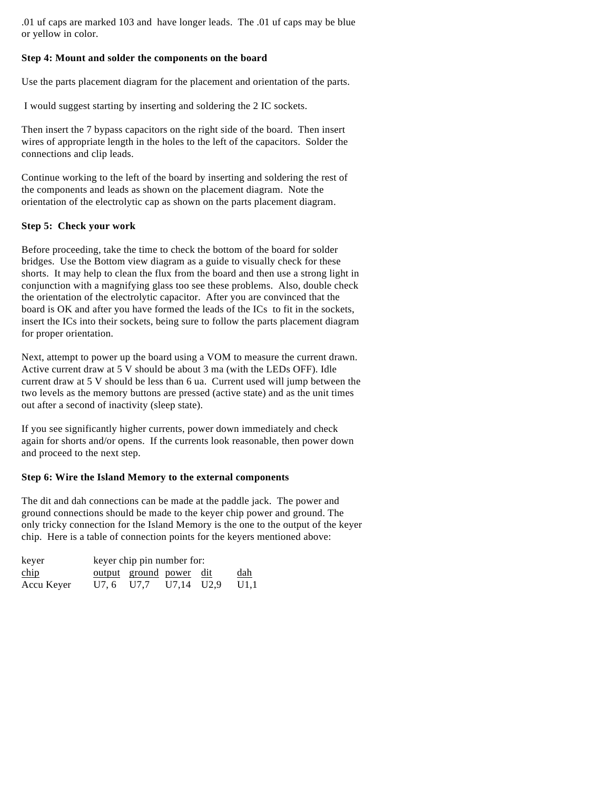.01 uf caps are marked 103 and have longer leads. The .01 uf caps may be blue or yellow in color.

#### **Step 4: Mount and solder the components on the board**

Use the parts placement diagram for the placement and orientation of the parts.

I would suggest starting by inserting and soldering the 2 IC sockets.

Then insert the 7 bypass capacitors on the right side of the board. Then insert wires of appropriate length in the holes to the left of the capacitors. Solder the connections and clip leads.

Continue working to the left of the board by inserting and soldering the rest of the components and leads as shown on the placement diagram. Note the orientation of the electrolytic cap as shown on the parts placement diagram.

## **Step 5: Check your work**

Before proceeding, take the time to check the bottom of the board for solder bridges. Use the Bottom view diagram as a guide to visually check for these shorts. It may help to clean the flux from the board and then use a strong light in conjunction with a magnifying glass too see these problems. Also, double check the orientation of the electrolytic capacitor. After you are convinced that the board is OK and after you have formed the leads of the ICs to fit in the sockets, insert the ICs into their sockets, being sure to follow the parts placement diagram for proper orientation.

Next, attempt to power up the board using a VOM to measure the current drawn. Active current draw at 5 V should be about 3 ma (with the LEDs OFF). Idle current draw at 5 V should be less than 6 ua. Current used will jump between the two levels as the memory buttons are pressed (active state) and as the unit times out after a second of inactivity (sleep state).

If you see significantly higher currents, power down immediately and check again for shorts and/or opens. If the currents look reasonable, then power down and proceed to the next step.

#### **Step 6: Wire the Island Memory to the external components**

The dit and dah connections can be made at the paddle jack. The power and ground connections should be made to the keyer chip power and ground. The only tricky connection for the Island Memory is the one to the output of the keyer chip. Here is a table of connection points for the keyers mentioned above:

| keyer                             | keyer chip pin number for:     |  |  |            |
|-----------------------------------|--------------------------------|--|--|------------|
| $\frac{\text{chip}}{\text{chip}}$ | <u>output</u> ground power dit |  |  | <u>dah</u> |
| Accu Keyer                        | U7.6 U7.7 U7.14 U2.9 U1.1      |  |  |            |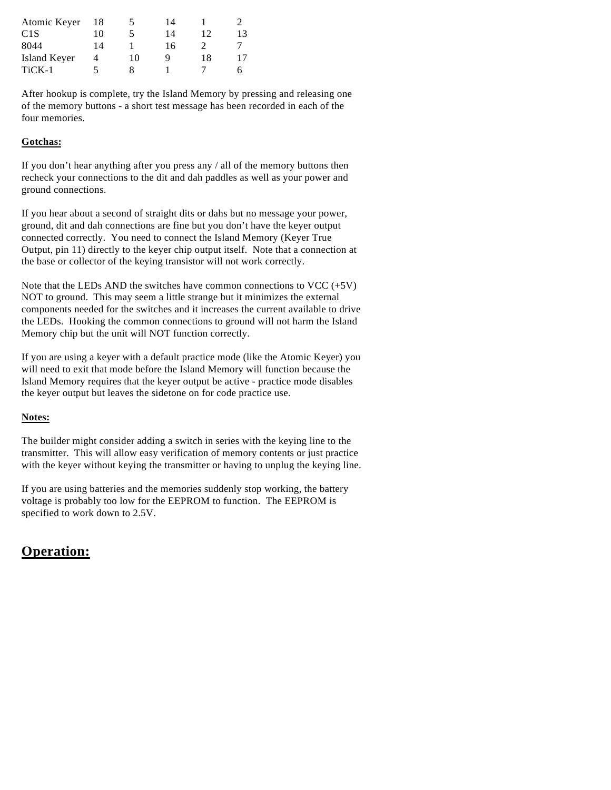| 18 | $\mathcal{D}$ | 14 |    |    |
|----|---------------|----|----|----|
| 10 |               | 14 | 12 | 13 |
| 14 |               | 16 |    |    |
| 4  | 10            |    | 18 | 17 |
| ৲  |               |    |    |    |
|    |               |    |    |    |

After hookup is complete, try the Island Memory by pressing and releasing one of the memory buttons - a short test message has been recorded in each of the four memories.

# **Gotchas:**

If you don't hear anything after you press any / all of the memory buttons then recheck your connections to the dit and dah paddles as well as your power and ground connections.

If you hear about a second of straight dits or dahs but no message your power, ground, dit and dah connections are fine but you don't have the keyer output connected correctly. You need to connect the Island Memory (Keyer True Output, pin 11) directly to the keyer chip output itself. Note that a connection at the base or collector of the keying transistor will not work correctly.

Note that the LEDs AND the switches have common connections to VCC  $(+5V)$ NOT to ground. This may seem a little strange but it minimizes the external components needed for the switches and it increases the current available to drive the LEDs. Hooking the common connections to ground will not harm the Island Memory chip but the unit will NOT function correctly.

If you are using a keyer with a default practice mode (like the Atomic Keyer) you will need to exit that mode before the Island Memory will function because the Island Memory requires that the keyer output be active - practice mode disables the keyer output but leaves the sidetone on for code practice use.

## **Notes:**

The builder might consider adding a switch in series with the keying line to the transmitter. This will allow easy verification of memory contents or just practice with the keyer without keying the transmitter or having to unplug the keying line.

If you are using batteries and the memories suddenly stop working, the battery voltage is probably too low for the EEPROM to function. The EEPROM is specified to work down to 2.5V.

# **Operation:**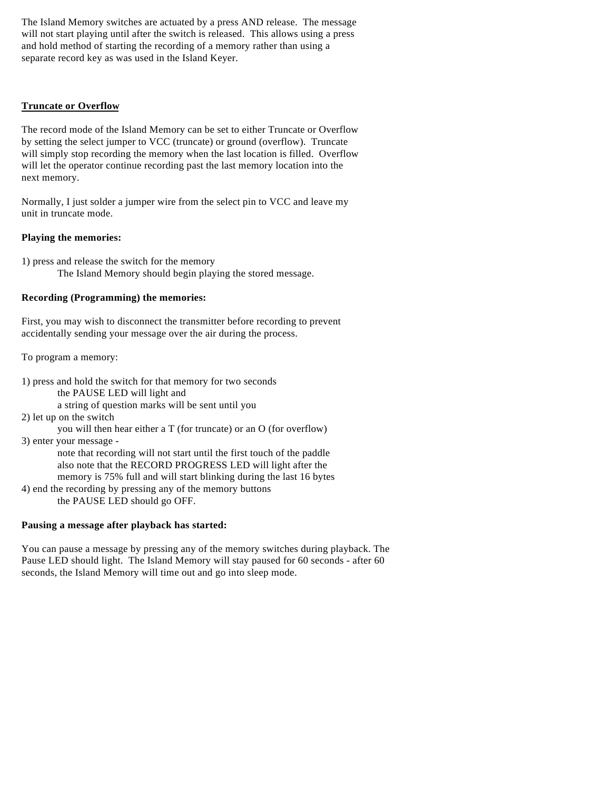The Island Memory switches are actuated by a press AND release. The message will not start playing until after the switch is released. This allows using a press and hold method of starting the recording of a memory rather than using a separate record key as was used in the Island Keyer.

# **Truncate or Overflow**

The record mode of the Island Memory can be set to either Truncate or Overflow by setting the select jumper to VCC (truncate) or ground (overflow). Truncate will simply stop recording the memory when the last location is filled. Overflow will let the operator continue recording past the last memory location into the next memory.

Normally, I just solder a jumper wire from the select pin to VCC and leave my unit in truncate mode.

#### **Playing the memories:**

1) press and release the switch for the memory The Island Memory should begin playing the stored message.

#### **Recording (Programming) the memories:**

First, you may wish to disconnect the transmitter before recording to prevent accidentally sending your message over the air during the process.

To program a memory:

1) press and hold the switch for that memory for two seconds the PAUSE LED will light and a string of question marks will be sent until you

2) let up on the switch

you will then hear either a T (for truncate) or an O (for overflow)

3) enter your message -

note that recording will not start until the first touch of the paddle also note that the RECORD PROGRESS LED will light after the memory is 75% full and will start blinking during the last 16 bytes

4) end the recording by pressing any of the memory buttons the PAUSE LED should go OFF.

## **Pausing a message after playback has started:**

You can pause a message by pressing any of the memory switches during playback. The Pause LED should light. The Island Memory will stay paused for 60 seconds - after 60 seconds, the Island Memory will time out and go into sleep mode.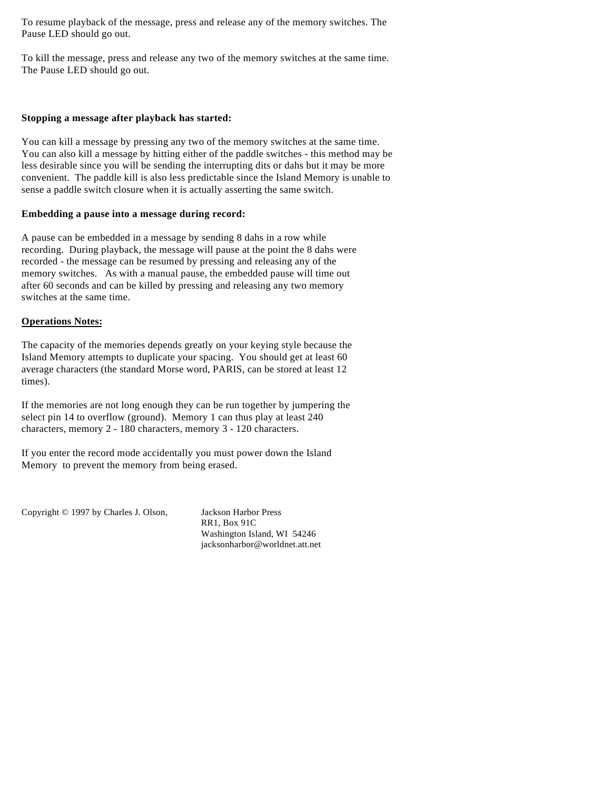To resume playback of the message, press and release any of the memory switches. The Pause LED should go out.

To kill the message, press and release any two of the memory switches at the same time. The Pause LED should go out.

#### **Stopping a message after playback has started:**

You can kill a message by pressing any two of the memory switches at the same time. You can also kill a message by hitting either of the paddle switches - this method may be less desirable since you will be sending the interrupting dits or dahs but it may be more convenient. The paddle kill is also less predictable since the Island Memory is unable to sense a paddle switch closure when it is actually asserting the same switch.

#### **Embedding a pause into a message during record:**

A pause can be embedded in a message by sending 8 dahs in a row while recording. During playback, the message will pause at the point the 8 dahs were recorded - the message can be resumed by pressing and releasing any of the memory switches. As with a manual pause, the embedded pause will time out after 60 seconds and can be killed by pressing and releasing any two memory switches at the same time.

## **Operations Notes:**

The capacity of the memories depends greatly on your keying style because the Island Memory attempts to duplicate your spacing. You should get at least 60 average characters (the standard Morse word, PARIS, can be stored at least 12 times).

If the memories are not long enough they can be run together by jumpering the select pin 14 to overflow (ground). Memory 1 can thus play at least 240 characters, memory 2 - 180 characters, memory 3 - 120 characters.

If you enter the record mode accidentally you must power down the Island Memory to prevent the memory from being erased.

Copyright © 1997 by Charles J. Olson, Jackson Harbor Press

RR1, Box 91C Washington Island, WI 54246 jacksonharbor@worldnet.att.net